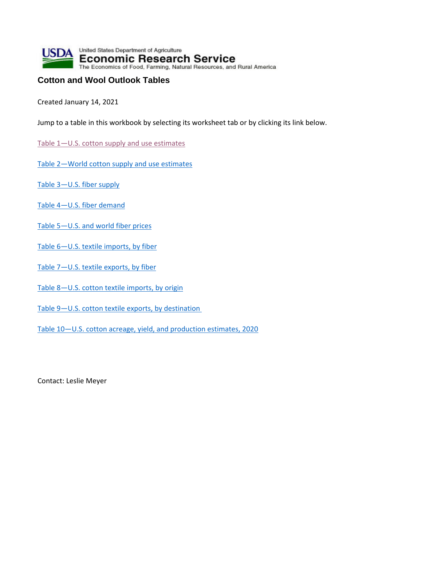

## **Cotton and Wool Outlook Tables**

Created January 14, 2021

Jump to a table in this workbook by selecting its worksheet tab or by clicking its link below.

- Table 1-U.S. cotton supply and use estimates
- Table 2—World cotton supply and use estimates
- Table 3—U.S. fiber supply
- Table 4—U.S. fiber demand
- Table 5-U.S. and world fiber prices
- Table 6—U.S. textile imports, by fiber
- Table 7—U.S. textile exports, by fiber
- Table 8-U.S. cotton textile imports, by origin
- Table 9-U.S. cotton textile exports, by destination
- Table 10—U.S. cotton acreage, yield, and production estimates, 2020

Contact: Leslie Meyer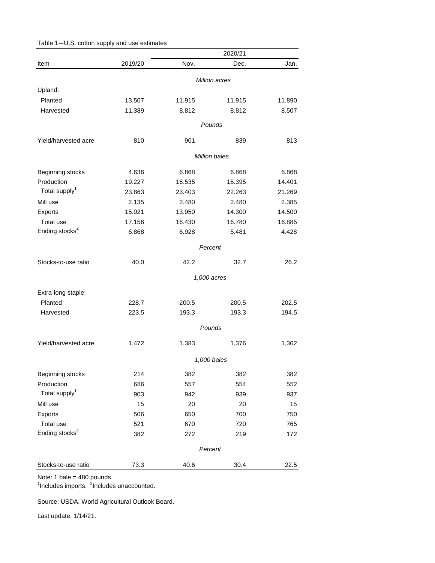| Table 1-U.S. cotton supply and use estimates |
|----------------------------------------------|
|----------------------------------------------|

|                            |               |        | 2020/21              |        |
|----------------------------|---------------|--------|----------------------|--------|
| Item                       | 2019/20       | Nov.   | Dec.                 | Jan.   |
|                            | Million acres |        |                      |        |
| Upland:                    |               |        |                      |        |
| Planted                    | 13.507        | 11.915 | 11.915               | 11.890 |
| Harvested                  | 11.389        | 8.812  | 8.812                | 8.507  |
|                            |               |        | Pounds               |        |
| Yield/harvested acre       | 810           | 901    | 839                  | 813    |
|                            |               |        | <b>Million bales</b> |        |
| Beginning stocks           | 4.636         | 6.868  | 6.868                | 6.868  |
| Production                 | 19.227        | 16.535 | 15.395               | 14.401 |
| Total supply <sup>1</sup>  | 23.863        | 23.403 | 22.263               | 21.269 |
| Mill use                   | 2.135         | 2.480  | 2.480                | 2.385  |
| Exports                    | 15.021        | 13.950 | 14.300               | 14.500 |
| Total use                  | 17.156        | 16.430 | 16.780               | 16.885 |
| Ending stocks <sup>2</sup> | 6.868         | 6.928  | 5.481                | 4.428  |
|                            | Percent       |        |                      |        |
|                            |               |        |                      |        |
| Stocks-to-use ratio        | 40.0          | 42.2   | 32.7                 | 26.2   |
|                            |               |        | 1,000 acres          |        |
| Extra-long staple:         |               |        |                      |        |
| Planted                    | 228.7         | 200.5  | 200.5                | 202.5  |
| Harvested                  | 223.5         | 193.3  | 193.3                | 194.5  |
|                            |               |        | Pounds               |        |
| Yield/harvested acre       | 1,472         | 1,383  | 1,376                | 1,362  |
|                            |               |        | 1,000 bales          |        |
| Beginning stocks           | 214           | 382    | 382                  | 382    |
| Production                 | 686           | 557    | 554                  | 552    |
| Total supply <sup>1</sup>  | 903           | 942    | 939                  | 937    |
| Mill use                   | 15            | 20     | 20                   | 15     |
| Exports                    | 506           | 650    | 700                  | 750    |
| Total use                  | 521           | 670    | 720                  | 765    |
| Ending stocks <sup>2</sup> | 382           | 272    | 219                  | 172    |
|                            |               |        | Percent              |        |
|                            |               |        |                      |        |
| Stocks-to-use ratio        | 73.3          | 40.6   | 30.4                 | 22.5   |

<sup>1</sup>Includes imports. <sup>2</sup>Includes unaccounted.

Source: USDA, World Agricultural Outlook Board.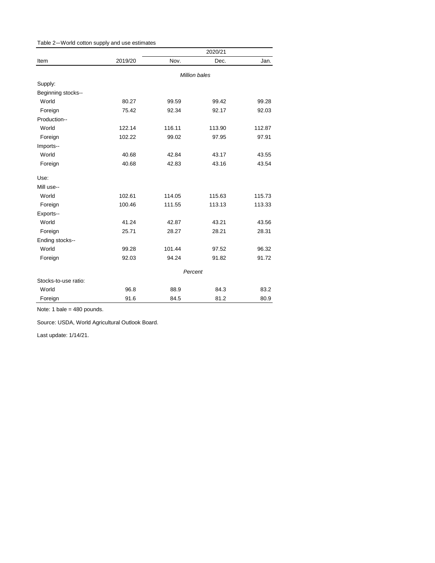|                      |               | 2020/21 |        |        |
|----------------------|---------------|---------|--------|--------|
| Item                 | 2019/20       | Nov.    | Dec.   | Jan.   |
|                      | Million bales |         |        |        |
| Supply:              |               |         |        |        |
| Beginning stocks--   |               |         |        |        |
| World                | 80.27         | 99.59   | 99.42  | 99.28  |
| Foreign              | 75.42         | 92.34   | 92.17  | 92.03  |
| Production--         |               |         |        |        |
| World                | 122.14        | 116.11  | 113.90 | 112.87 |
| Foreign              | 102.22        | 99.02   | 97.95  | 97.91  |
| Imports--            |               |         |        |        |
| World                | 40.68         | 42.84   | 43.17  | 43.55  |
| Foreign              | 40.68         | 42.83   | 43.16  | 43.54  |
| Use:                 |               |         |        |        |
| Mill use--           |               |         |        |        |
| World                | 102.61        | 114.05  | 115.63 | 115.73 |
| Foreign              | 100.46        | 111.55  | 113.13 | 113.33 |
| Exports--            |               |         |        |        |
| World                | 41.24         | 42.87   | 43.21  | 43.56  |
| Foreign              | 25.71         | 28.27   | 28.21  | 28.31  |
| Ending stocks--      |               |         |        |        |
| World                | 99.28         | 101.44  | 97.52  | 96.32  |
| Foreign              | 92.03         | 94.24   | 91.82  | 91.72  |
|                      | Percent       |         |        |        |
| Stocks-to-use ratio: |               |         |        |        |
| World                | 96.8          | 88.9    | 84.3   | 83.2   |
| Foreign              | 91.6          | 84.5    | 81.2   | 80.9   |

Source: USDA, World Agricultural Outlook Board.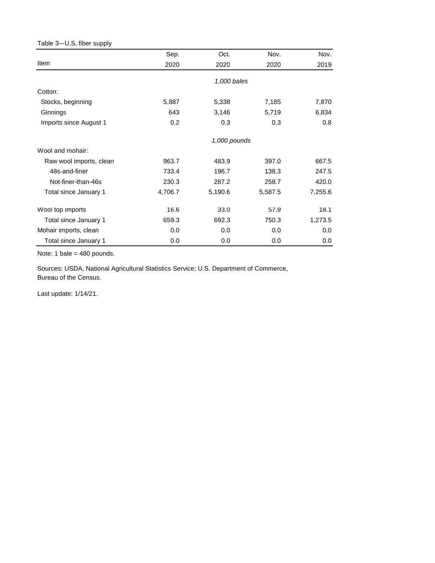## Table 3—U.S. fiber supply *X3A0T*

|                         | Sep.    | Oct.         | Nov.    | Nov.    |
|-------------------------|---------|--------------|---------|---------|
| Item                    | 2020    | 2020         | 2020    | 2019    |
|                         |         | 1,000 bales  |         |         |
| Cotton:                 |         |              |         |         |
| Stocks, beginning       | 5,887   | 5,338        | 7,185   | 7,870   |
| Ginnings                | 643     | 3,146        | 5,719   | 6,834   |
| Imports since August 1  | 0.2     | 0.3          | 0.3     | 0.8     |
|                         |         | 1,000 pounds |         |         |
| Wool and mohair:        |         |              |         |         |
| Raw wool imports, clean | 963.7   | 483.9        | 397.0   | 667.5   |
| 48s-and-finer           | 733.4   | 196.7        | 138.3   | 247.5   |
| Not-finer-than-46s      | 230.3   | 287.2        | 258.7   | 420.0   |
| Total since January 1   | 4,706.7 | 5,190.6      | 5,587.5 | 7,255.6 |
| Wool top imports        | 16.6    | 33.0         | 57.9    | 18.1    |
| Total since January 1   | 659.3   | 692.3        | 750.3   | 1,273.5 |
| Mohair imports, clean   | 0.0     | 0.0          | 0.0     | 0.0     |
| Total since January 1   | 0.0     | 0.0          | 0.0     | 0.0     |

Note: 1 bale = 480 pounds.

Sources: USDA, National Agricultural Statistics Service; U.S. Department of Commerce, Bureau of the Census.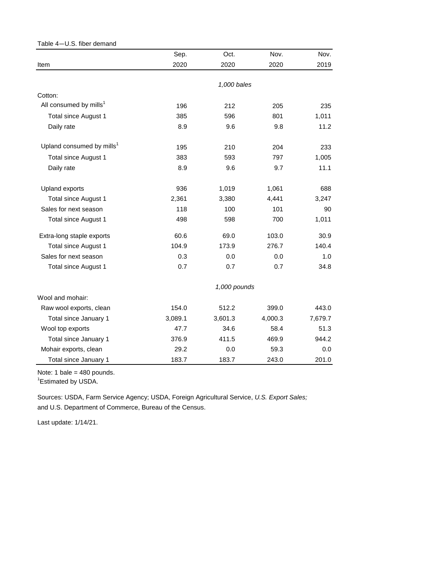| Table 4-U.S. fiber demand             |         |              |         |         |
|---------------------------------------|---------|--------------|---------|---------|
|                                       | Sep.    | Oct.         | Nov.    | Nov.    |
| Item                                  | 2020    | 2020         | 2020    | 2019    |
|                                       |         |              |         |         |
|                                       |         | 1,000 bales  |         |         |
| Cotton:                               |         |              |         |         |
| All consumed by mills <sup>1</sup>    | 196     | 212          | 205     | 235     |
| Total since August 1                  | 385     | 596          | 801     | 1,011   |
| Daily rate                            | 8.9     | 9.6          | 9.8     | 11.2    |
| Upland consumed by mills <sup>1</sup> | 195     | 210          | 204     | 233     |
| <b>Total since August 1</b>           | 383     | 593          | 797     | 1,005   |
| Daily rate                            | 8.9     | 9.6          | 9.7     | 11.1    |
| Upland exports                        | 936     | 1,019        | 1,061   | 688     |
| <b>Total since August 1</b>           | 2,361   | 3,380        | 4,441   | 3,247   |
| Sales for next season                 | 118     | 100          | 101     | 90      |
| Total since August 1                  | 498     | 598          | 700     | 1,011   |
| Extra-long staple exports             | 60.6    | 69.0         | 103.0   | 30.9    |
| <b>Total since August 1</b>           | 104.9   | 173.9        | 276.7   | 140.4   |
| Sales for next season                 | 0.3     | 0.0          | 0.0     | 1.0     |
| Total since August 1                  | 0.7     | 0.7          | 0.7     | 34.8    |
|                                       |         | 1,000 pounds |         |         |
| Wool and mohair:                      |         |              |         |         |
| Raw wool exports, clean               | 154.0   | 512.2        | 399.0   | 443.0   |
| Total since January 1                 | 3,089.1 | 3,601.3      | 4,000.3 | 7,679.7 |
| Wool top exports                      | 47.7    | 34.6         | 58.4    | 51.3    |
| Total since January 1                 | 376.9   | 411.5        | 469.9   | 944.2   |
| Mohair exports, clean                 | 29.2    | 0.0          | 59.3    | 0.0     |
| Total since January 1                 | 183.7   | 183.7        | 243.0   | 201.0   |

<sup>1</sup> Estimated by USDA.

and U.S. Department of Commerce, Bureau of the Census. Sources: USDA, Farm Service Agency; USDA, Foreign Agricultural Service, *U.S. Export Sales;*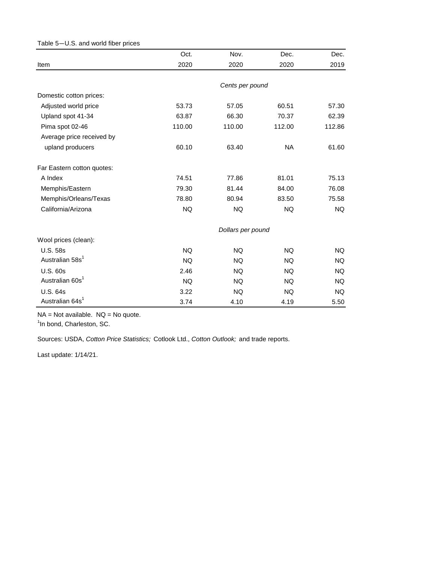| rable J-0.0. and wond much prices |           |                   |           |        |
|-----------------------------------|-----------|-------------------|-----------|--------|
|                                   | Oct.      | Nov.              | Dec.      | Dec.   |
| Item                              | 2020      | 2020              | 2020      | 2019   |
|                                   |           |                   |           |        |
|                                   |           | Cents per pound   |           |        |
| Domestic cotton prices:           |           |                   |           |        |
| Adjusted world price              | 53.73     | 57.05             | 60.51     | 57.30  |
| Upland spot 41-34                 | 63.87     | 66.30             | 70.37     | 62.39  |
| Pima spot 02-46                   | 110.00    | 110.00            | 112.00    | 112.86 |
| Average price received by         |           |                   |           |        |
| upland producers                  | 60.10     | 63.40             | <b>NA</b> | 61.60  |
| Far Eastern cotton quotes:        |           |                   |           |        |
| A Index                           | 74.51     | 77.86             | 81.01     | 75.13  |
| Memphis/Eastern                   | 79.30     | 81.44             | 84.00     | 76.08  |
| Memphis/Orleans/Texas             | 78.80     | 80.94             | 83.50     | 75.58  |
| California/Arizona                | <b>NQ</b> | <b>NQ</b>         | <b>NQ</b> | NQ.    |
|                                   |           | Dollars per pound |           |        |
| Wool prices (clean):              |           |                   |           |        |
| <b>U.S. 58s</b>                   | <b>NQ</b> | <b>NQ</b>         | NQ.       | NQ.    |
| Australian 58s <sup>1</sup>       | <b>NQ</b> | NQ.               | NQ.       | NQ.    |
| U.S. 60s                          | 2.46      | <b>NQ</b>         | <b>NQ</b> | NQ.    |
| Australian 60s <sup>1</sup>       | <b>NQ</b> | NQ                | NQ.       | NQ.    |
| U.S. 64s                          | 3.22      | <b>NQ</b>         | NQ.       | NQ.    |
| Australian 64s <sup>1</sup>       | 3.74      | 4.10              | 4.19      | 5.50   |

 $NA = Not available.$   $NQ = No$  quote. <sup>1</sup>In bond, Charleston, SC.

Sources: USDA, *Cotton Price Statistics;* Cotlook Ltd., *Cotton Outlook;* and trade reports.

Last update: 1/14/21.

## Table 5—U.S. and world fiber prices *X5A0T*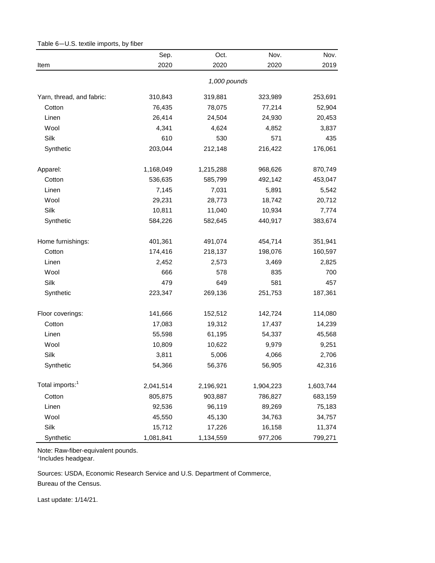|                             | Sep.         | Oct.      | Nov.      | Nov.      |
|-----------------------------|--------------|-----------|-----------|-----------|
| Item                        | 2020         | 2020      | 2020      | 2019      |
|                             | 1,000 pounds |           |           |           |
| Yarn, thread, and fabric:   | 310,843      | 319,881   | 323,989   | 253,691   |
| Cotton                      | 76,435       | 78,075    | 77,214    | 52,904    |
| Linen                       | 26,414       | 24,504    | 24,930    | 20,453    |
| Wool                        | 4,341        | 4,624     | 4,852     | 3,837     |
| Silk                        | 610          | 530       | 571       | 435       |
| Synthetic                   | 203,044      | 212,148   | 216,422   | 176,061   |
| Apparel:                    | 1,168,049    | 1,215,288 | 968,626   | 870,749   |
| Cotton                      | 536,635      | 585,799   | 492,142   | 453,047   |
| Linen                       | 7,145        | 7,031     | 5,891     | 5,542     |
| Wool                        | 29,231       | 28,773    | 18,742    | 20,712    |
| Silk                        | 10,811       | 11,040    | 10,934    | 7,774     |
| Synthetic                   | 584,226      | 582,645   | 440,917   | 383,674   |
| Home furnishings:           | 401,361      | 491,074   | 454,714   | 351,941   |
| Cotton                      | 174,416      | 218,137   | 198,076   | 160,597   |
| Linen                       | 2,452        | 2,573     | 3,469     | 2,825     |
| Wool                        | 666          | 578       | 835       | 700       |
| Silk                        | 479          | 649       | 581       | 457       |
| Synthetic                   | 223,347      | 269,136   | 251,753   | 187,361   |
| Floor coverings:            | 141,666      | 152,512   | 142,724   | 114,080   |
| Cotton                      | 17,083       | 19,312    | 17,437    | 14,239    |
| Linen                       | 55,598       | 61,195    | 54,337    | 45,568    |
| Wool                        | 10,809       | 10,622    | 9,979     | 9,251     |
| Silk                        | 3,811        | 5,006     | 4,066     | 2,706     |
| Synthetic                   | 54,366       | 56,376    | 56,905    | 42,316    |
| Total imports: <sup>1</sup> | 2,041,514    | 2,196,921 | 1,904,223 | 1,603,744 |
| Cotton                      | 805,875      | 903,887   | 786,827   | 683,159   |
| Linen                       | 92,536       | 96,119    | 89,269    | 75,183    |
| Wool                        | 45,550       | 45,130    | 34,763    | 34,757    |
| Silk                        | 15,712       | 17,226    | 16,158    | 11,374    |
| Synthetic                   | 1,081,841    | 1,134,559 | 977,206   | 799,271   |

Table 6-U.S. textile imports, by fiber

<sup>1</sup>Includes headgear.

Bureau of the Census. Sources: USDA, Economic Research Service and U.S. Department of Commerce,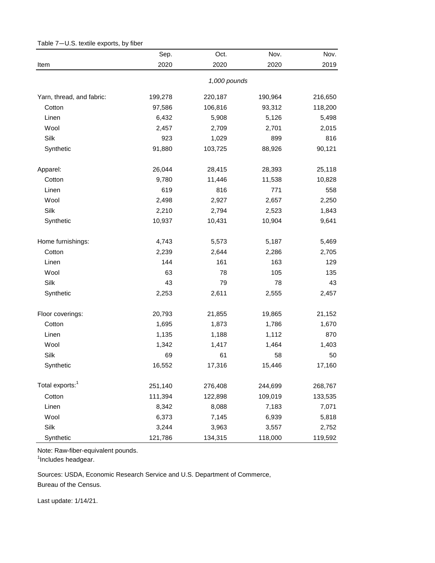|                             | Sep.    | Oct.         | Nov.    | Nov.    |
|-----------------------------|---------|--------------|---------|---------|
| Item                        | 2020    | 2020         | 2020    | 2019    |
|                             |         | 1,000 pounds |         |         |
| Yarn, thread, and fabric:   | 199,278 | 220,187      | 190,964 | 216,650 |
| Cotton                      | 97,586  | 106,816      | 93,312  | 118,200 |
| Linen                       | 6,432   | 5,908        | 5,126   | 5,498   |
| Wool                        | 2,457   | 2,709        | 2,701   | 2,015   |
| Silk                        | 923     | 1,029        | 899     | 816     |
| Synthetic                   | 91,880  | 103,725      | 88,926  | 90,121  |
| Apparel:                    | 26,044  | 28,415       | 28,393  | 25,118  |
| Cotton                      | 9,780   | 11,446       | 11,538  | 10,828  |
| Linen                       | 619     | 816          | 771     | 558     |
| Wool                        | 2,498   | 2,927        | 2,657   | 2,250   |
| Silk                        | 2,210   | 2,794        | 2,523   | 1,843   |
| Synthetic                   | 10,937  | 10,431       | 10,904  | 9,641   |
| Home furnishings:           | 4,743   | 5,573        | 5,187   | 5,469   |
| Cotton                      | 2,239   | 2,644        | 2,286   | 2,705   |
| Linen                       | 144     | 161          | 163     | 129     |
| Wool                        | 63      | 78           | 105     | 135     |
| Silk                        | 43      | 79           | 78      | 43      |
| Synthetic                   | 2,253   | 2,611        | 2,555   | 2,457   |
| Floor coverings:            | 20,793  | 21,855       | 19,865  | 21,152  |
| Cotton                      | 1,695   | 1,873        | 1,786   | 1,670   |
| Linen                       | 1,135   | 1,188        | 1,112   | 870     |
| Wool                        | 1,342   | 1,417        | 1,464   | 1,403   |
| Silk                        | 69      | 61           | 58      | 50      |
| Synthetic                   | 16,552  | 17,316       | 15,446  | 17,160  |
| Total exports: <sup>1</sup> | 251,140 | 276,408      | 244,699 | 268,767 |
| Cotton                      | 111,394 | 122,898      | 109,019 | 133,535 |
| Linen                       | 8,342   | 8,088        | 7,183   | 7,071   |
| Wool                        | 6,373   | 7,145        | 6,939   | 5,818   |
| Silk                        | 3,244   | 3,963        | 3,557   | 2,752   |
| Synthetic                   | 121,786 | 134,315      | 118,000 | 119,592 |

Table 7-U.S. textile exports, by fiber

<sup>1</sup>Includes headgear.

Bureau of the Census. Sources: USDA, Economic Research Service and U.S. Department of Commerce,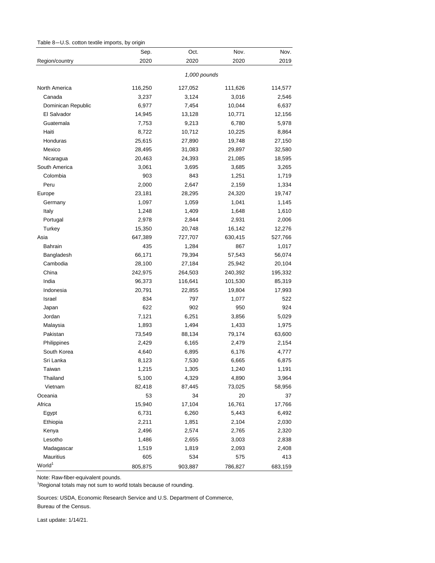| Table 8-U.S. cotton textile imports, by origin |  |  |  |  |  |
|------------------------------------------------|--|--|--|--|--|
|------------------------------------------------|--|--|--|--|--|

|                    | Sep.    | Oct.         | Nov.    | Nov.    |
|--------------------|---------|--------------|---------|---------|
| Region/country     | 2020    | 2020         | 2020    | 2019    |
|                    |         | 1,000 pounds |         |         |
| North America      | 116,250 | 127,052      | 111,626 | 114,577 |
| Canada             | 3,237   | 3,124        | 3,016   | 2,546   |
| Dominican Republic | 6,977   | 7,454        | 10,044  | 6,637   |
| El Salvador        | 14,945  | 13,128       | 10,771  | 12,156  |
| Guatemala          | 7,753   | 9,213        | 6,780   | 5,978   |
| Haiti              | 8,722   | 10,712       | 10,225  | 8,864   |
| Honduras           | 25,615  | 27,890       | 19,748  | 27,150  |
| Mexico             | 28,495  | 31,083       | 29,897  | 32,580  |
| Nicaragua          | 20,463  | 24,393       | 21,085  | 18,595  |
| South America      | 3,061   | 3,695        | 3,685   | 3,265   |
| Colombia           | 903     | 843          | 1,251   | 1,719   |
| Peru               | 2,000   | 2,647        | 2,159   | 1,334   |
| Europe             | 23,181  | 28,295       | 24,320  | 19,747  |
| Germany            | 1,097   | 1,059        | 1,041   | 1,145   |
| Italy              | 1,248   | 1,409        | 1,648   | 1,610   |
| Portugal           | 2,978   | 2,844        | 2,931   | 2,006   |
| Turkey             | 15,350  | 20,748       | 16,142  | 12,276  |
| Asia               | 647,389 | 727,707      | 630,415 | 527,766 |
| <b>Bahrain</b>     | 435     | 1,284        | 867     | 1,017   |
| Bangladesh         | 66,171  | 79,394       | 57,543  | 56,074  |
| Cambodia           | 28,100  | 27,184       | 25,942  | 20,104  |
| China              | 242,975 | 264,503      | 240,392 | 195,332 |
| India              | 96,373  | 116,641      | 101,530 | 85,319  |
| Indonesia          | 20,791  | 22,855       | 19,804  | 17,993  |
| Israel             | 834     | 797          | 1,077   | 522     |
| Japan              | 622     | 902          | 950     | 924     |
| Jordan             | 7,121   | 6,251        | 3,856   | 5,029   |
| Malaysia           | 1,893   | 1,494        | 1,433   | 1,975   |
| Pakistan           | 73,549  | 88,134       | 79,174  | 63,600  |
| Philippines        | 2,429   | 6,165        | 2,479   | 2,154   |
| South Korea        | 4,640   | 6,895        | 6,176   | 4,777   |
| Sri Lanka          | 8,123   | 7,530        | 6,665   | 6,875   |
| Taiwan             | 1,215   | 1,305        | 1,240   | 1,191   |
| Thailand           | 5,100   | 4,329        | 4,890   | 3,964   |
| Vietnam            | 82,418  | 87,445       | 73,025  | 58,956  |
| Oceania            | 53      | 34           | 20      | 37      |
| Africa             | 15,940  | 17,104       | 16,761  | 17,766  |
| Egypt              | 6,731   | 6,260        | 5,443   | 6,492   |
| Ethiopia           | 2,211   | 1,851        | 2,104   | 2,030   |
| Kenya              | 2,496   | 2,574        | 2,765   | 2,320   |
| Lesotho            | 1,486   | 2,655        | 3,003   | 2,838   |
| Madagascar         | 1,519   | 1,819        | 2,093   | 2,408   |
| Mauritius          | 605     | 534          | 575     | 413     |
| World <sup>1</sup> | 805,875 | 903,887      | 786,827 | 683,159 |

<sup>1</sup>Regional totals may not sum to world totals because of rounding.

Sources: USDA, Economic Research Service and U.S. Department of Commerce,

Bureau of the Census.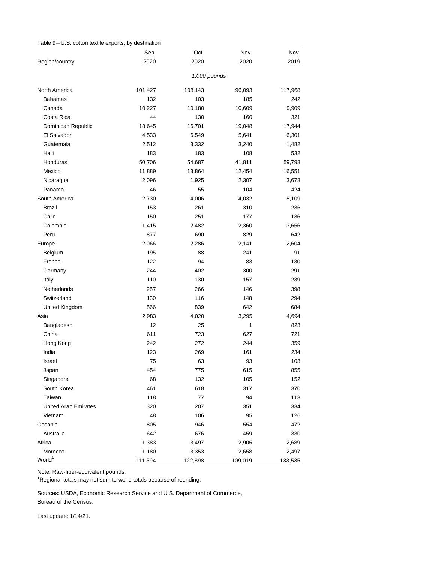|                             | Sep.         | Oct.    | Nov.    | Nov.    |  |  |
|-----------------------------|--------------|---------|---------|---------|--|--|
| Region/country              | 2020         | 2020    | 2020    | 2019    |  |  |
|                             | 1,000 pounds |         |         |         |  |  |
| North America               | 101,427      | 108,143 | 96,093  | 117,968 |  |  |
| <b>Bahamas</b>              | 132          | 103     | 185     | 242     |  |  |
| Canada                      | 10,227       | 10,180  | 10,609  | 9,909   |  |  |
| Costa Rica                  | 44           | 130     | 160     | 321     |  |  |
| Dominican Republic          | 18,645       | 16,701  | 19,048  | 17,944  |  |  |
| El Salvador                 | 4,533        | 6,549   | 5,641   | 6,301   |  |  |
| Guatemala                   | 2,512        | 3,332   | 3,240   | 1,482   |  |  |
| Haiti                       | 183          | 183     | 108     | 532     |  |  |
| Honduras                    | 50,706       | 54,687  | 41,811  | 59,798  |  |  |
| Mexico                      | 11,889       | 13,864  | 12,454  | 16,551  |  |  |
| Nicaragua                   | 2,096        | 1,925   | 2,307   | 3,678   |  |  |
| Panama                      | 46           | 55      | 104     | 424     |  |  |
| South America               | 2,730        | 4,006   | 4,032   | 5,109   |  |  |
| <b>Brazil</b>               | 153          | 261     | 310     | 236     |  |  |
| Chile                       | 150          | 251     | 177     | 136     |  |  |
| Colombia                    | 1,415        | 2,482   | 2,360   | 3,656   |  |  |
| Peru                        | 877          | 690     | 829     | 642     |  |  |
| Europe                      | 2,066        | 2,286   | 2,141   | 2,604   |  |  |
| Belgium                     | 195          | 88      | 241     | 91      |  |  |
| France                      | 122          | 94      | 83      | 130     |  |  |
| Germany                     | 244          | 402     | 300     | 291     |  |  |
| Italy                       | 110          | 130     | 157     | 239     |  |  |
| Netherlands                 | 257          | 266     | 146     | 398     |  |  |
| Switzerland                 | 130          | 116     | 148     | 294     |  |  |
| United Kingdom              | 566          | 839     | 642     | 684     |  |  |
| Asia                        | 2,983        | 4,020   | 3,295   | 4,694   |  |  |
| Bangladesh                  | 12           | 25      | 1       | 823     |  |  |
| China                       | 611          | 723     | 627     | 721     |  |  |
| Hong Kong                   | 242          | 272     | 244     | 359     |  |  |
| India                       | 123          | 269     | 161     | 234     |  |  |
| Israel                      | 75           | 63      | 93      | 103     |  |  |
| Japan                       | 454          | 775     | 615     | 855     |  |  |
| Singapore                   | 68           | 132     | 105     | 152     |  |  |
| South Korea                 | 461          | 618     | 317     | 370     |  |  |
| Taiwan                      | 118          | $77$    | 94      | 113     |  |  |
| <b>United Arab Emirates</b> | 320          | 207     | 351     | 334     |  |  |
| Vietnam                     | 48           | 106     | 95      | 126     |  |  |
| Oceania                     | 805          | 946     | 554     | 472     |  |  |
| Australia                   | 642          | 676     | 459     | 330     |  |  |
| Africa                      | 1,383        | 3,497   | 2,905   | 2,689   |  |  |
| Morocco                     | 1,180        | 3,353   | 2,658   | 2,497   |  |  |
| World <sup>1</sup>          | 111,394      | 122,898 | 109,019 | 133,535 |  |  |

<sup>1</sup>Regional totals may not sum to world totals because of rounding.

Bureau of the Census. Sources: USDA, Economic Research Service and U.S. Department of Commerce,